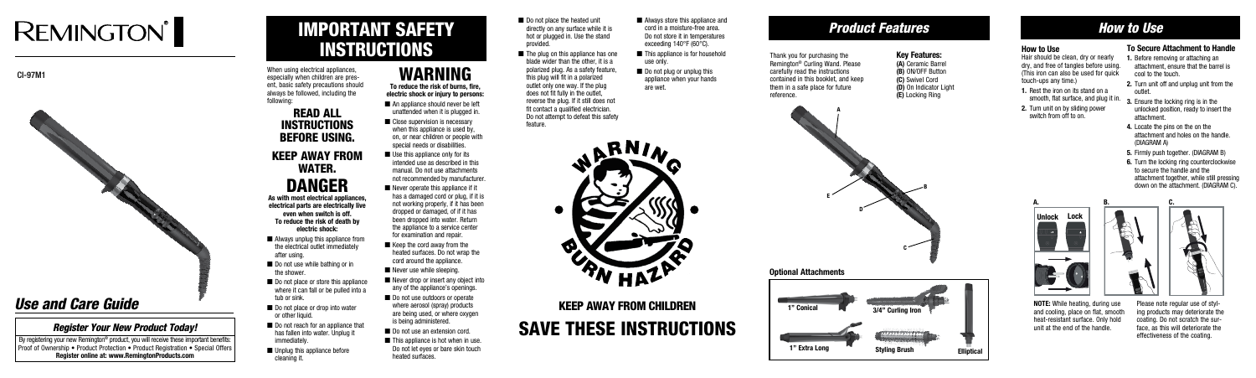# **REMINGTON**

CI-97M1



# IMPORTANT SAFETY INSTRUCTIONS

When using electrical appliances, especially when children are present, basic safety precautions should always be followed, including the following:

### READ ALL **INSTRUCTIONS** BEFORE USING.

 $\blacksquare$  Always unplug this appliance from the electrical outlet immediately after using.

### KEEP AWAY FROM WATER. DANGER

**As with most electrical appliances, electrical parts are electrically live even when switch is off. To reduce the risk of death by electric shock:**

- Do not use while bathing or in the shower.
- Do not place or store this appliance where it can fall or be pulled into a tub or sink.
- Do not place or drop into water or other liquid.
- Do not reach for an appliance that has fallen into water. Unplug it immediately.
- Unplug this appliance before cleaning it.
- Do not place the heated unit directly on any surface while it is hot or plugged in. Use the stand provided.
- The plug on this appliance has one blade wider than the other, it is a polarized plug. As a safety feature, this plug will fit in a polarized outlet only one way. If the plug does not fit fully in the outlet, reverse the plug. If it still does not fit contact a qualified electrician. Do not attempt to defeat this safety feature.
- Always store this appliance and cord in a moisture-free area. Do not store it in temperatures exceeding 140°F (60°C).
- This appliance is for household use only.
- Do not plug or unplug this appliance when your hands are wet.



**electric shock or injury to persons:** ■ An appliance should never be left

> Save these Instructions KEEP AWAY FROM CHILDREN

### WARNING **To reduce the risk of burns, fire,**

By registering your new Remington<sup>®</sup> product, you will receive these important benefits: **Proof of Ownership • Product Protection • Product Registration • Special Offers Register online at: www.RemingtonProducts.com**

- unattended when it is plugged in. ■ Close supervision is necessary
- when this appliance is used by, on, or near children or people with special needs or disabilities.
- Use this appliance only for its intended use as described in this manual. Do not use attachments not recommended by manufacturer.
- Never operate this appliance if it has a damaged cord or plug, if it is not working properly, if it has been dropped or damaged, of if it has been dropped into water. Return the appliance to a service center for examination and repair
- Keep the cord away from the heated surfaces. Do not wrap the cord around the appliance.
- Never use while sleeping.
- Never drop or insert any object into any of the appliance's openings.
- Do not use outdoors or operate where aerosol (spray) products are being used, or where oxygen is being administered.
- Do not use an extension cord.
- This appliance is hot when in use. Do not let eyes or bare skin touch heated surfaces.

### *Product Features*

Thank you for purchasing the Remington® Curling Wand. Please carefully read the instructions contained in this booklet, and keep them in a safe place for future reference.

### **Key Features:**

**(A)** Ceramic Barrel **(B)** ON/OFF Button **(C)** Swivel Cord **(D)** On Indicator Light **(E)** Locking Ring

## *Use and Care Guide*

### *Register Your New Product Today!*



### *How to Use*

### **How to Use**

Hair should be clean, dry or nearly dry, and free of tangles before using. (This iron can also be used for quick touch-ups any time.)

- **1.** Rest the iron on its stand on a smooth, flat surface, and plug it in.
- **2.** Turn unit on by sliding power switch from off to on.

### **To Secure Attachment to Handle**

- **1.** Before removing or attaching an attachment, ensure that the barrel is cool to the touch.
- **2.** Turn unit off and unplug unit from the outlet.
- **3.** Ensure the locking ring is in the unlocked position, ready to insert the attachment.
- **4.** Locate the pins on the on the attachment and holes on the handle. (DIAGRAM A)
- **5.** Firmly push together. (DIAGRAM B)
- **6.** Turn the locking ring counterclockwise to secure the handle and the attachment together, while still pressing down on the attachment. (DIAGRAM C).

**NOTE:** While heating, during use and cooling, place on flat, smooth heat-resistant surface. Only hold unit at the end of the handle.





Please note regular use of styling products may deteriorate the coating. Do not scratch the surface, as this will deteriorate the effectiveness of the coating.



**Optional Attachments**